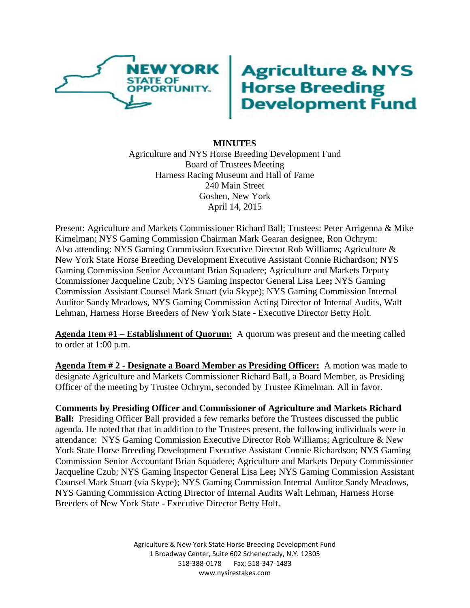

# **Agriculture & NYS<br>Horse Breeding<br>Development Fund**

# **MINUTES** Agriculture and NYS Horse Breeding Development Fund Board of Trustees Meeting Harness Racing Museum and Hall of Fame 240 Main Street Goshen, New York April 14, 2015

Present: Agriculture and Markets Commissioner Richard Ball; Trustees: Peter Arrigenna & Mike Kimelman; NYS Gaming Commission Chairman Mark Gearan designee, Ron Ochrym: Also attending: NYS Gaming Commission Executive Director Rob Williams; Agriculture & New York State Horse Breeding Development Executive Assistant Connie Richardson; NYS Gaming Commission Senior Accountant Brian Squadere; Agriculture and Markets Deputy Commissioner Jacqueline Czub; NYS Gaming Inspector General Lisa Lee**;** NYS Gaming Commission Assistant Counsel Mark Stuart (via Skype); NYS Gaming Commission Internal Auditor Sandy Meadows, NYS Gaming Commission Acting Director of Internal Audits, Walt Lehman, Harness Horse Breeders of New York State - Executive Director Betty Holt.

**Agenda Item #1 – Establishment of Quorum:** A quorum was present and the meeting called to order at 1:00 p.m.

**Agenda Item # 2 - Designate a Board Member as Presiding Officer:** A motion was made to designate Agriculture and Markets Commissioner Richard Ball, a Board Member, as Presiding Officer of the meeting by Trustee Ochrym, seconded by Trustee Kimelman. All in favor.

**Comments by Presiding Officer and Commissioner of Agriculture and Markets Richard Ball:** Presiding Officer Ball provided a few remarks before the Trustees discussed the public agenda. He noted that that in addition to the Trustees present, the following individuals were in attendance: NYS Gaming Commission Executive Director Rob Williams; Agriculture & New York State Horse Breeding Development Executive Assistant Connie Richardson; NYS Gaming Commission Senior Accountant Brian Squadere; Agriculture and Markets Deputy Commissioner Jacqueline Czub; NYS Gaming Inspector General Lisa Lee**;** NYS Gaming Commission Assistant Counsel Mark Stuart (via Skype); NYS Gaming Commission Internal Auditor Sandy Meadows, NYS Gaming Commission Acting Director of Internal Audits Walt Lehman, Harness Horse Breeders of New York State - Executive Director Betty Holt.

> Agriculture & New York State Horse Breeding Development Fund 1 Broadway Center, Suite 602 Schenectady, N.Y. 12305 518-388-0178 Fax: 518-347-1483 www.nysirestakes.com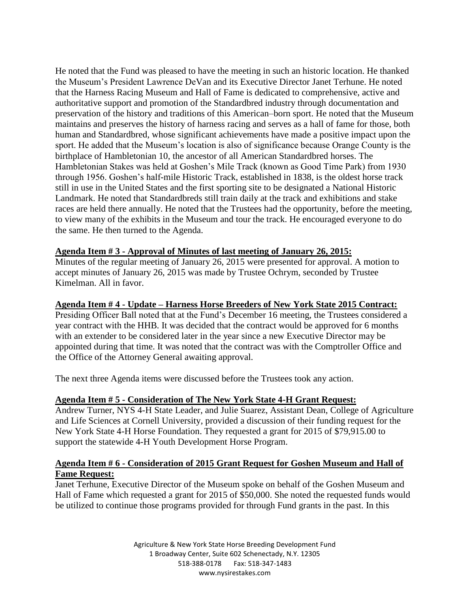He noted that the Fund was pleased to have the meeting in such an historic location. He thanked the Museum's President Lawrence DeVan and its Executive Director Janet Terhune. He noted that the Harness Racing Museum and Hall of Fame is dedicated to comprehensive, active and authoritative support and promotion of the Standardbred industry through documentation and preservation of the history and traditions of this American–born sport. He noted that the Museum maintains and preserves the history of harness racing and serves as a hall of fame for those, both human and Standardbred, whose significant achievements have made a positive impact upon the sport. He added that the Museum's location is also of significance because Orange County is the birthplace of Hambletonian 10, the ancestor of all American Standardbred horses. The Hambletonian Stakes was held at Goshen's Mile Track (known as Good Time Park) from 1930 through 1956. Goshen's half-mile Historic Track, established in 1838, is the oldest horse track still in use in the United States and the first sporting site to be designated a National Historic Landmark. He noted that Standardbreds still train daily at the track and exhibitions and stake races are held there annually. He noted that the Trustees had the opportunity, before the meeting, to view many of the exhibits in the Museum and tour the track. He encouraged everyone to do the same. He then turned to the Agenda.

## **Agenda Item # 3 - Approval of Minutes of last meeting of January 26, 2015:**

Minutes of the regular meeting of January 26, 2015 were presented for approval. A motion to accept minutes of January 26, 2015 was made by Trustee Ochrym, seconded by Trustee Kimelman. All in favor.

## **Agenda Item # 4 - Update – Harness Horse Breeders of New York State 2015 Contract:**

Presiding Officer Ball noted that at the Fund's December 16 meeting, the Trustees considered a year contract with the HHB. It was decided that the contract would be approved for 6 months with an extender to be considered later in the year since a new Executive Director may be appointed during that time. It was noted that the contract was with the Comptroller Office and the Office of the Attorney General awaiting approval.

The next three Agenda items were discussed before the Trustees took any action.

## **Agenda Item # 5 - Consideration of The New York State 4-H Grant Request:**

Andrew Turner, NYS 4-H State Leader, and Julie Suarez, Assistant Dean, College of Agriculture and Life Sciences at Cornell University, provided a discussion of their funding request for the New York State 4-H Horse Foundation. They requested a grant for 2015 of \$79,915.00 to support the statewide 4-H Youth Development Horse Program.

## **Agenda Item # 6 - Consideration of 2015 Grant Request for Goshen Museum and Hall of Fame Request:**

Janet Terhune, Executive Director of the Museum spoke on behalf of the Goshen Museum and Hall of Fame which requested a grant for 2015 of \$50,000. She noted the requested funds would be utilized to continue those programs provided for through Fund grants in the past. In this

> Agriculture & New York State Horse Breeding Development Fund 1 Broadway Center, Suite 602 Schenectady, N.Y. 12305 518-388-0178 Fax: 518-347-1483 www.nysirestakes.com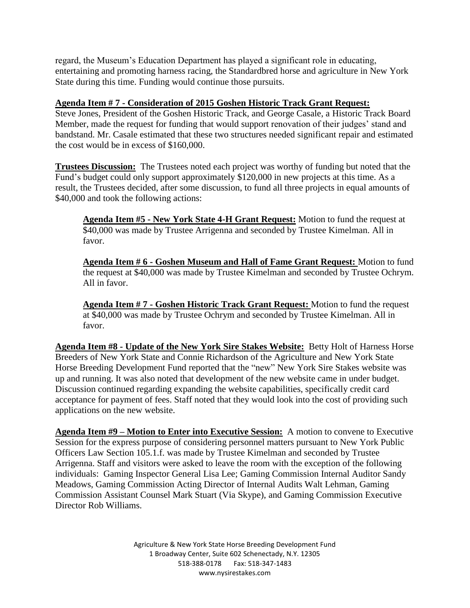regard, the Museum's Education Department has played a significant role in educating, entertaining and promoting harness racing, the Standardbred horse and agriculture in New York State during this time. Funding would continue those pursuits.

# **Agenda Item # 7 - Consideration of 2015 Goshen Historic Track Grant Request:**

Steve Jones, President of the Goshen Historic Track, and George Casale, a Historic Track Board Member, made the request for funding that would support renovation of their judges' stand and bandstand. Mr. Casale estimated that these two structures needed significant repair and estimated the cost would be in excess of \$160,000.

**Trustees Discussion:** The Trustees noted each project was worthy of funding but noted that the Fund's budget could only support approximately \$120,000 in new projects at this time. As a result, the Trustees decided, after some discussion, to fund all three projects in equal amounts of \$40,000 and took the following actions:

**Agenda Item #5 - New York State 4-H Grant Request:** Motion to fund the request at \$40,000 was made by Trustee Arrigenna and seconded by Trustee Kimelman. All in favor.

**Agenda Item # 6 - Goshen Museum and Hall of Fame Grant Request:** Motion to fund the request at \$40,000 was made by Trustee Kimelman and seconded by Trustee Ochrym. All in favor.

**Agenda Item # 7 - Goshen Historic Track Grant Request:** Motion to fund the request at \$40,000 was made by Trustee Ochrym and seconded by Trustee Kimelman. All in favor.

**Agenda Item #8 - Update of the New York Sire Stakes Website:** Betty Holt of Harness Horse Breeders of New York State and Connie Richardson of the Agriculture and New York State Horse Breeding Development Fund reported that the "new" New York Sire Stakes website was up and running. It was also noted that development of the new website came in under budget. Discussion continued regarding expanding the website capabilities, specifically credit card acceptance for payment of fees. Staff noted that they would look into the cost of providing such applications on the new website.

**Agenda Item #9 – Motion to Enter into Executive Session:** A motion to convene to Executive Session for the express purpose of considering personnel matters pursuant to New York Public Officers Law Section 105.1.f. was made by Trustee Kimelman and seconded by Trustee Arrigenna. Staff and visitors were asked to leave the room with the exception of the following individuals: Gaming Inspector General Lisa Lee; Gaming Commission Internal Auditor Sandy Meadows, Gaming Commission Acting Director of Internal Audits Walt Lehman, Gaming Commission Assistant Counsel Mark Stuart (Via Skype), and Gaming Commission Executive Director Rob Williams.

> Agriculture & New York State Horse Breeding Development Fund 1 Broadway Center, Suite 602 Schenectady, N.Y. 12305 518-388-0178 Fax: 518-347-1483 www.nysirestakes.com